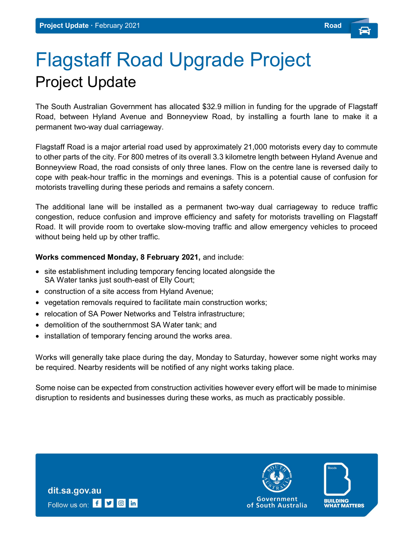## Flagstaff Road Upgrade Project Project Update

The South Australian Government has allocated \$32.9 million in funding for the upgrade of Flagstaff Road, between Hyland Avenue and Bonneyview Road, by installing a fourth lane to make it a permanent two-way dual carriageway.

Flagstaff Road is a major arterial road used by approximately 21,000 motorists every day to commute to other parts of the city. For 800 metres of its overall 3.3 kilometre length between Hyland Avenue and Bonneyview Road, the road consists of only three lanes. Flow on the centre lane is reversed daily to cope with peak-hour traffic in the mornings and evenings. This is a potential cause of confusion for motorists travelling during these periods and remains a safety concern.

The additional lane will be installed as a permanent two-way dual carriageway to reduce traffic congestion, reduce confusion and improve efficiency and safety for motorists travelling on Flagstaff Road. It will provide room to overtake slow-moving traffic and allow emergency vehicles to proceed without being held up by other traffic.

## Works commenced Monday, 8 February 2021, and include:

- site establishment including temporary fencing located alongside the SA Water tanks just south-east of Elly Court;
- construction of a site access from Hyland Avenue;
- vegetation removals required to facilitate main construction works;
- relocation of SA Power Networks and Telstra infrastructure:
- demolition of the southernmost SA Water tank; and
- installation of temporary fencing around the works area.

Works will generally take place during the day, Monday to Saturday, however some night works may be required. Nearby residents will be notified of any night works taking place.

Some noise can be expected from construction activities however every effort will be made to minimise disruption to residents and businesses during these works, as much as practicably possible.